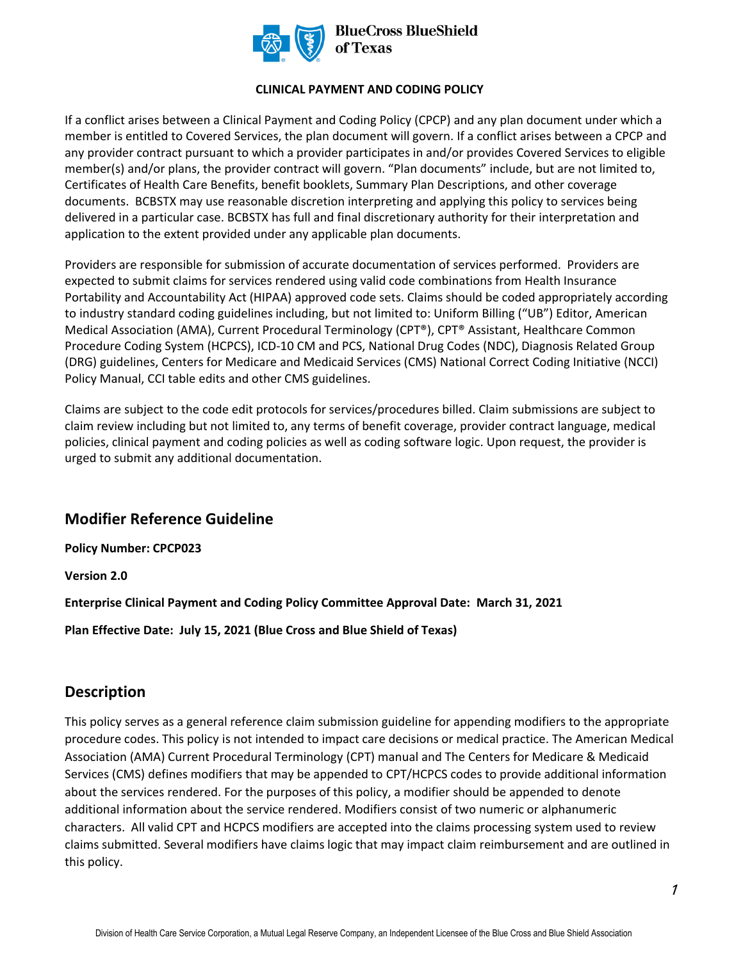

### **CLINICAL PAYMENT AND CODING POLICY**

If a conflict arises between a Clinical Payment and Coding Policy (CPCP) and any plan document under which a member is entitled to Covered Services, the plan document will govern. If a conflict arises between a CPCP and any provider contract pursuant to which a provider participates in and/or provides Covered Services to eligible member(s) and/or plans, the provider contract will govern. "Plan documents" include, but are not limited to, Certificates of Health Care Benefits, benefit booklets, Summary Plan Descriptions, and other coverage documents. BCBSTX may use reasonable discretion interpreting and applying this policy to services being delivered in a particular case. BCBSTX has full and final discretionary authority for their interpretation and application to the extent provided under any applicable plan documents.

Providers are responsible for submission of accurate documentation of services performed. Providers are expected to submit claims for services rendered using valid code combinations from Health Insurance Portability and Accountability Act (HIPAA) approved code sets. Claims should be coded appropriately according to industry standard coding guidelines including, but not limited to: Uniform Billing ("UB") Editor, American Medical Association (AMA), Current Procedural Terminology (CPT®), CPT® Assistant, Healthcare Common Procedure Coding System (HCPCS), ICD-10 CM and PCS, National Drug Codes (NDC), Diagnosis Related Group (DRG) guidelines, Centers for Medicare and Medicaid Services (CMS) National Correct Coding Initiative (NCCI) Policy Manual, CCI table edits and other CMS guidelines.

Claims are subject to the code edit protocols for services/procedures billed. Claim submissions are subject to claim review including but not limited to, any terms of benefit coverage, provider contract language, medical policies, clinical payment and coding policies as well as coding software logic. Upon request, the provider is urged to submit any additional documentation.

### **Modifier Reference Guideline**

**Policy Number: CPCP023** 

**Version 2.0** 

**Enterprise Clinical Payment and Coding Policy Committee Approval Date: March 31, 2021** 

**Plan Effective Date: July 15, 2021 (Blue Cross and Blue Shield of Texas)** 

### **Description**

This policy serves as a general reference claim submission guideline for appending modifiers to the appropriate procedure codes. This policy is not intended to impact care decisions or medical practice. The American Medical Association (AMA) Current Procedural Terminology (CPT) manual and The Centers for Medicare & Medicaid Services (CMS) defines modifiers that may be appended to CPT/HCPCS codes to provide additional information about the services rendered. For the purposes of this policy, a modifier should be appended to denote additional information about the service rendered. Modifiers consist of two numeric or alphanumeric characters. All valid CPT and HCPCS modifiers are accepted into the claims processing system used to review claims submitted. Several modifiers have claims logic that may impact claim reimbursement and are outlined in this policy.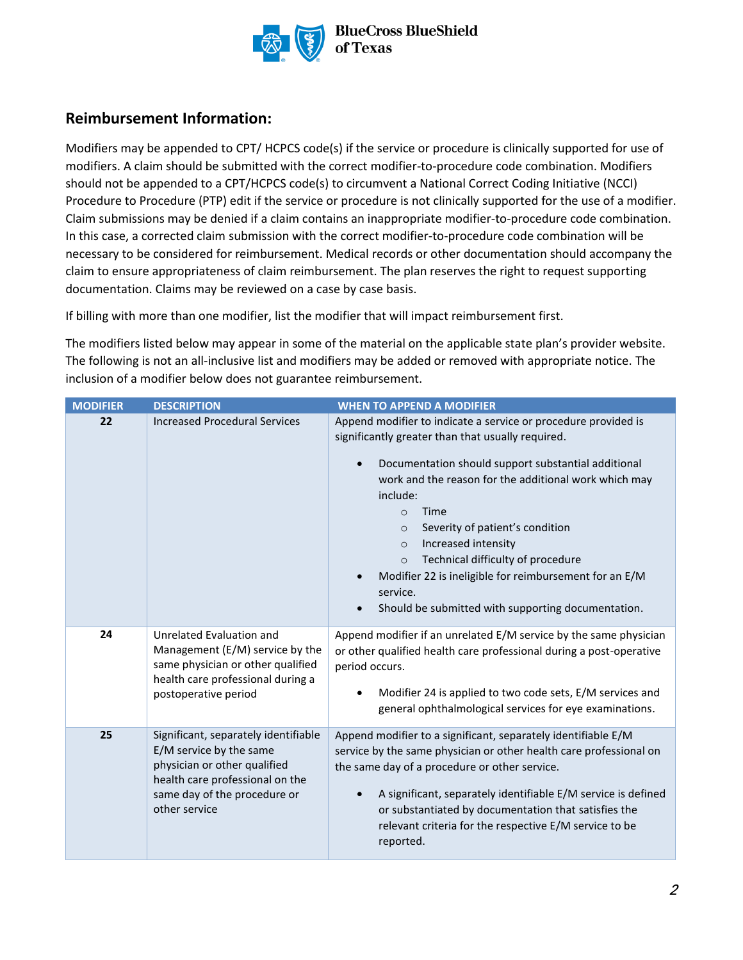

## **Reimbursement Information:**

Modifiers may be appended to CPT/ HCPCS code(s) if the service or procedure is clinically supported for use of modifiers. A claim should be submitted with the correct modifier-to-procedure code combination. Modifiers should not be appended to a CPT/HCPCS code(s) to circumvent a National Correct Coding Initiative (NCCI) Procedure to Procedure (PTP) edit if the service or procedure is not clinically supported for the use of a modifier. Claim submissions may be denied if a claim contains an inappropriate modifier-to-procedure code combination. In this case, a corrected claim submission with the correct modifier-to-procedure code combination will be necessary to be considered for reimbursement. Medical records or other documentation should accompany the claim to ensure appropriateness of claim reimbursement. The plan reserves the right to request supporting documentation. Claims may be reviewed on a case by case basis.

If billing with more than one modifier, list the modifier that will impact reimbursement first.

The modifiers listed below may appear in some of the material on the applicable state plan's provider website. The following is not an all-inclusive list and modifiers may be added or removed with appropriate notice. The inclusion of a modifier below does not guarantee reimbursement.

| <b>MODIFIER</b> | <b>DESCRIPTION</b>                                                                                                                                                                  | <b>WHEN TO APPEND A MODIFIER</b>                                                                                                                                                                                                                                                                                                                                                                                                                                                                                                             |
|-----------------|-------------------------------------------------------------------------------------------------------------------------------------------------------------------------------------|----------------------------------------------------------------------------------------------------------------------------------------------------------------------------------------------------------------------------------------------------------------------------------------------------------------------------------------------------------------------------------------------------------------------------------------------------------------------------------------------------------------------------------------------|
| 22              | <b>Increased Procedural Services</b>                                                                                                                                                | Append modifier to indicate a service or procedure provided is<br>significantly greater than that usually required.<br>Documentation should support substantial additional<br>$\bullet$<br>work and the reason for the additional work which may<br>include:<br>Time<br>$\circ$<br>Severity of patient's condition<br>$\Omega$<br>Increased intensity<br>$\circ$<br>Technical difficulty of procedure<br>$\circ$<br>Modifier 22 is ineligible for reimbursement for an E/M<br>service.<br>Should be submitted with supporting documentation. |
| 24              | Unrelated Evaluation and<br>Management (E/M) service by the<br>same physician or other qualified<br>health care professional during a<br>postoperative period                       | Append modifier if an unrelated E/M service by the same physician<br>or other qualified health care professional during a post-operative<br>period occurs.<br>Modifier 24 is applied to two code sets, E/M services and<br>general ophthalmological services for eye examinations.                                                                                                                                                                                                                                                           |
| 25              | Significant, separately identifiable<br>E/M service by the same<br>physician or other qualified<br>health care professional on the<br>same day of the procedure or<br>other service | Append modifier to a significant, separately identifiable E/M<br>service by the same physician or other health care professional on<br>the same day of a procedure or other service.<br>A significant, separately identifiable E/M service is defined<br>or substantiated by documentation that satisfies the<br>relevant criteria for the respective E/M service to be<br>reported.                                                                                                                                                         |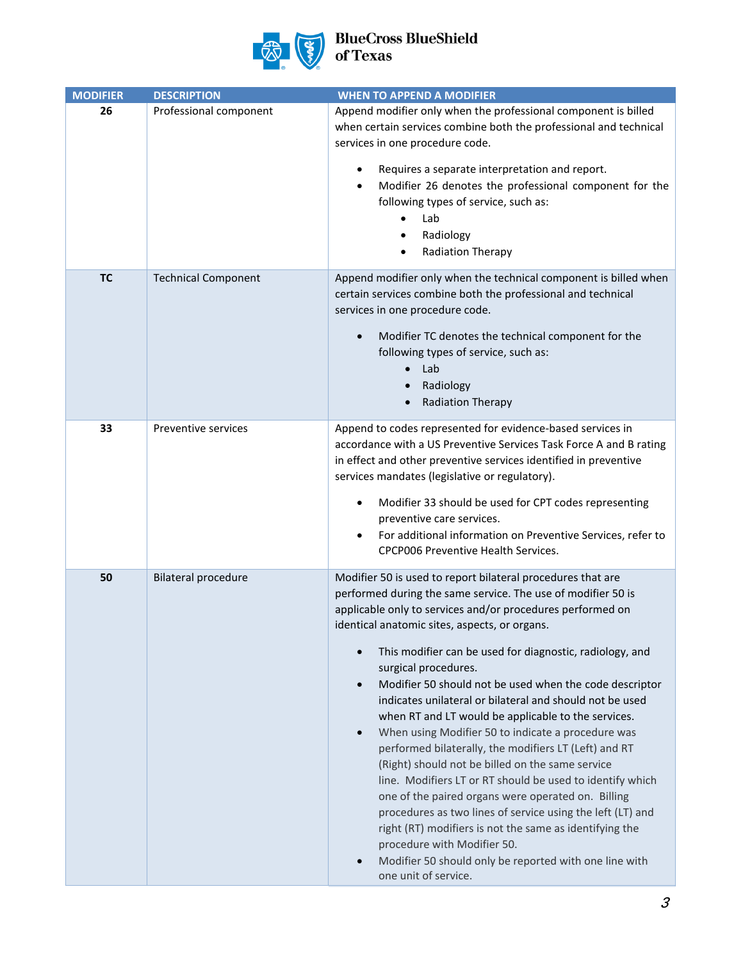

| <b>MODIFIER</b> | <b>DESCRIPTION</b>         | <b>WHEN TO APPEND A MODIFIER</b>                                                                                                                                                                                                                                                                                                                                                                                                                                                                                                                                                                                                                                                                                                                                                                                                                                                                                                                                                                                                                          |
|-----------------|----------------------------|-----------------------------------------------------------------------------------------------------------------------------------------------------------------------------------------------------------------------------------------------------------------------------------------------------------------------------------------------------------------------------------------------------------------------------------------------------------------------------------------------------------------------------------------------------------------------------------------------------------------------------------------------------------------------------------------------------------------------------------------------------------------------------------------------------------------------------------------------------------------------------------------------------------------------------------------------------------------------------------------------------------------------------------------------------------|
| 26              | Professional component     | Append modifier only when the professional component is billed<br>when certain services combine both the professional and technical<br>services in one procedure code.<br>Requires a separate interpretation and report.<br>Modifier 26 denotes the professional component for the<br>following types of service, such as:<br>Lab<br>Radiology<br>٠<br>Radiation Therapy                                                                                                                                                                                                                                                                                                                                                                                                                                                                                                                                                                                                                                                                                  |
| <b>TC</b>       | <b>Technical Component</b> | Append modifier only when the technical component is billed when<br>certain services combine both the professional and technical<br>services in one procedure code.<br>Modifier TC denotes the technical component for the<br>following types of service, such as:<br>Lab<br>$\bullet$<br>Radiology<br><b>Radiation Therapy</b>                                                                                                                                                                                                                                                                                                                                                                                                                                                                                                                                                                                                                                                                                                                           |
| 33              | Preventive services        | Append to codes represented for evidence-based services in<br>accordance with a US Preventive Services Task Force A and B rating<br>in effect and other preventive services identified in preventive<br>services mandates (legislative or regulatory).<br>Modifier 33 should be used for CPT codes representing<br>preventive care services.<br>For additional information on Preventive Services, refer to<br><b>CPCP006 Preventive Health Services.</b>                                                                                                                                                                                                                                                                                                                                                                                                                                                                                                                                                                                                 |
| 50              | <b>Bilateral procedure</b> | Modifier 50 is used to report bilateral procedures that are<br>performed during the same service. The use of modifier 50 is<br>applicable only to services and/or procedures performed on<br>identical anatomic sites, aspects, or organs.<br>This modifier can be used for diagnostic, radiology, and<br>surgical procedures.<br>Modifier 50 should not be used when the code descriptor<br>indicates unilateral or bilateral and should not be used<br>when RT and LT would be applicable to the services.<br>When using Modifier 50 to indicate a procedure was<br>$\bullet$<br>performed bilaterally, the modifiers LT (Left) and RT<br>(Right) should not be billed on the same service<br>line. Modifiers LT or RT should be used to identify which<br>one of the paired organs were operated on. Billing<br>procedures as two lines of service using the left (LT) and<br>right (RT) modifiers is not the same as identifying the<br>procedure with Modifier 50.<br>Modifier 50 should only be reported with one line with<br>one unit of service. |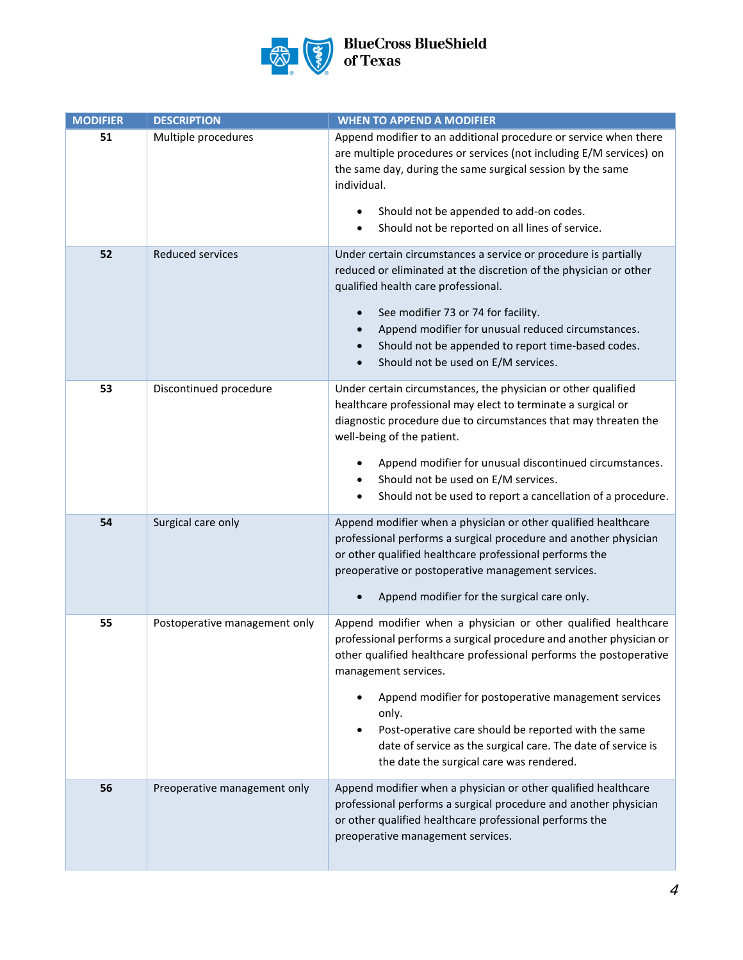

## BlueCross BlueShield<br>of Texas

| <b>MODIFIER</b> | <b>DESCRIPTION</b>            | <b>WHEN TO APPEND A MODIFIER</b>                                                                                                                                                                                                                                                                                                                                                                                                                                          |
|-----------------|-------------------------------|---------------------------------------------------------------------------------------------------------------------------------------------------------------------------------------------------------------------------------------------------------------------------------------------------------------------------------------------------------------------------------------------------------------------------------------------------------------------------|
| 51              | Multiple procedures           | Append modifier to an additional procedure or service when there<br>are multiple procedures or services (not including E/M services) on<br>the same day, during the same surgical session by the same<br>individual.<br>Should not be appended to add-on codes.<br>Should not be reported on all lines of service.                                                                                                                                                        |
| 52              | <b>Reduced services</b>       | Under certain circumstances a service or procedure is partially<br>reduced or eliminated at the discretion of the physician or other<br>qualified health care professional.<br>See modifier 73 or 74 for facility.<br>Append modifier for unusual reduced circumstances.<br>Should not be appended to report time-based codes.<br>Should not be used on E/M services.<br>$\bullet$                                                                                        |
| 53              | Discontinued procedure        | Under certain circumstances, the physician or other qualified<br>healthcare professional may elect to terminate a surgical or<br>diagnostic procedure due to circumstances that may threaten the<br>well-being of the patient.<br>Append modifier for unusual discontinued circumstances.<br>Should not be used on E/M services.<br>Should not be used to report a cancellation of a procedure.<br>٠                                                                      |
| 54              | Surgical care only            | Append modifier when a physician or other qualified healthcare<br>professional performs a surgical procedure and another physician<br>or other qualified healthcare professional performs the<br>preoperative or postoperative management services.<br>Append modifier for the surgical care only.                                                                                                                                                                        |
| 55              | Postoperative management only | Append modifier when a physician or other qualified healthcare<br>professional performs a surgical procedure and another physician or<br>other qualified healthcare professional performs the postoperative<br>management services.<br>Append modifier for postoperative management services<br>only.<br>Post-operative care should be reported with the same<br>date of service as the surgical care. The date of service is<br>the date the surgical care was rendered. |
| 56              | Preoperative management only  | Append modifier when a physician or other qualified healthcare<br>professional performs a surgical procedure and another physician<br>or other qualified healthcare professional performs the<br>preoperative management services.                                                                                                                                                                                                                                        |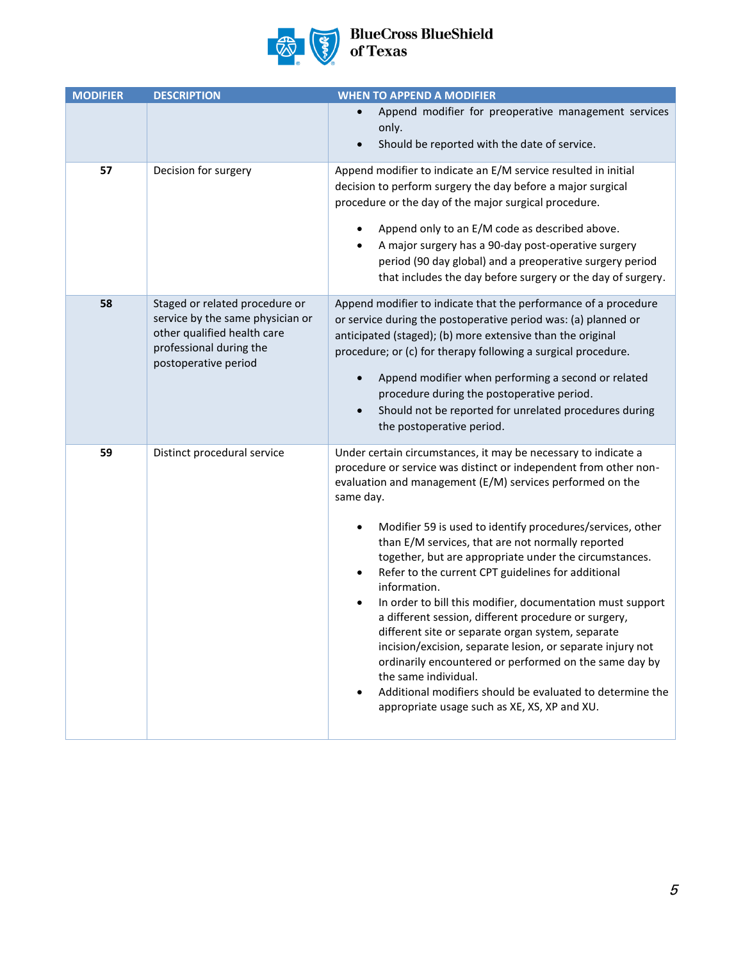

## BlueCross BlueShield<br>of Texas

| <b>MODIFIER</b> | <b>DESCRIPTION</b>                                                                                                                                   | <b>WHEN TO APPEND A MODIFIER</b>                                                                                                                                                                                                                                                                                                                                                                                                                                                                                                                                                                                                                                                                                                                                                                                                                                                                                     |
|-----------------|------------------------------------------------------------------------------------------------------------------------------------------------------|----------------------------------------------------------------------------------------------------------------------------------------------------------------------------------------------------------------------------------------------------------------------------------------------------------------------------------------------------------------------------------------------------------------------------------------------------------------------------------------------------------------------------------------------------------------------------------------------------------------------------------------------------------------------------------------------------------------------------------------------------------------------------------------------------------------------------------------------------------------------------------------------------------------------|
|                 |                                                                                                                                                      | Append modifier for preoperative management services<br>only.<br>Should be reported with the date of service.                                                                                                                                                                                                                                                                                                                                                                                                                                                                                                                                                                                                                                                                                                                                                                                                        |
| 57              | Decision for surgery                                                                                                                                 | Append modifier to indicate an E/M service resulted in initial<br>decision to perform surgery the day before a major surgical<br>procedure or the day of the major surgical procedure.<br>Append only to an E/M code as described above.<br>A major surgery has a 90-day post-operative surgery<br>$\bullet$<br>period (90 day global) and a preoperative surgery period<br>that includes the day before surgery or the day of surgery.                                                                                                                                                                                                                                                                                                                                                                                                                                                                              |
| 58              | Staged or related procedure or<br>service by the same physician or<br>other qualified health care<br>professional during the<br>postoperative period | Append modifier to indicate that the performance of a procedure<br>or service during the postoperative period was: (a) planned or<br>anticipated (staged); (b) more extensive than the original<br>procedure; or (c) for therapy following a surgical procedure.<br>Append modifier when performing a second or related<br>procedure during the postoperative period.<br>Should not be reported for unrelated procedures during<br>the postoperative period.                                                                                                                                                                                                                                                                                                                                                                                                                                                         |
| 59              | Distinct procedural service                                                                                                                          | Under certain circumstances, it may be necessary to indicate a<br>procedure or service was distinct or independent from other non-<br>evaluation and management (E/M) services performed on the<br>same day.<br>Modifier 59 is used to identify procedures/services, other<br>than E/M services, that are not normally reported<br>together, but are appropriate under the circumstances.<br>Refer to the current CPT guidelines for additional<br>information.<br>In order to bill this modifier, documentation must support<br>$\bullet$<br>a different session, different procedure or surgery,<br>different site or separate organ system, separate<br>incision/excision, separate lesion, or separate injury not<br>ordinarily encountered or performed on the same day by<br>the same individual.<br>Additional modifiers should be evaluated to determine the<br>appropriate usage such as XE, XS, XP and XU. |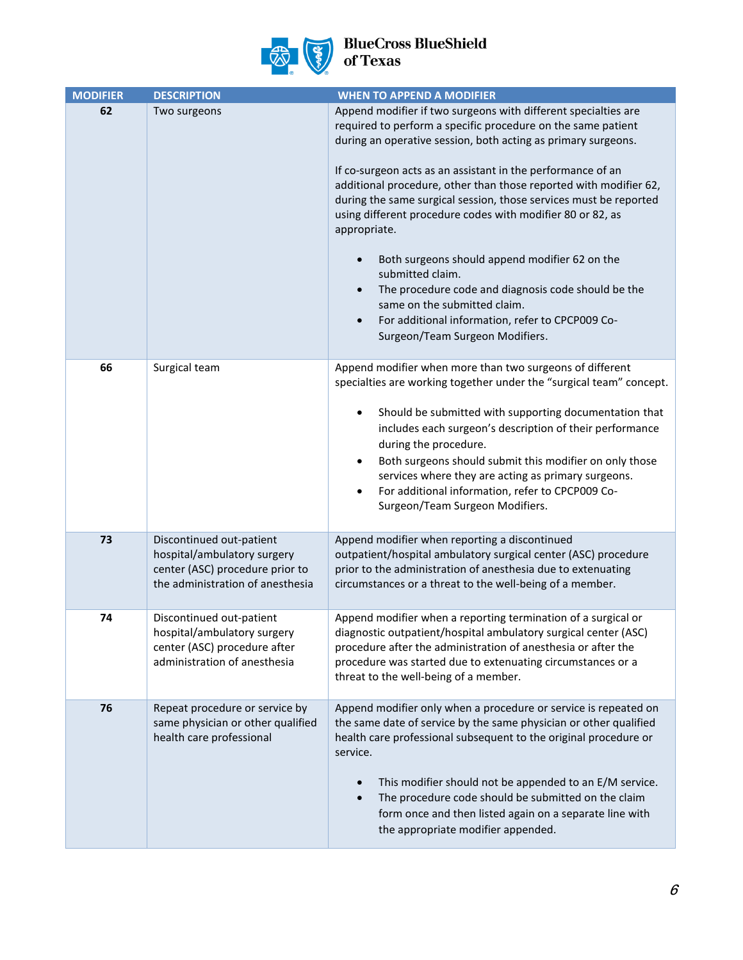

| <b>MODIFIER</b> | <b>DESCRIPTION</b>                                                                                                             | <b>WHEN TO APPEND A MODIFIER</b>                                                                                                                                                                                                                                                                                                                                                                                                                                                                                                                                                                                                                                                                                                                        |
|-----------------|--------------------------------------------------------------------------------------------------------------------------------|---------------------------------------------------------------------------------------------------------------------------------------------------------------------------------------------------------------------------------------------------------------------------------------------------------------------------------------------------------------------------------------------------------------------------------------------------------------------------------------------------------------------------------------------------------------------------------------------------------------------------------------------------------------------------------------------------------------------------------------------------------|
| 62              | Two surgeons                                                                                                                   | Append modifier if two surgeons with different specialties are<br>required to perform a specific procedure on the same patient<br>during an operative session, both acting as primary surgeons.<br>If co-surgeon acts as an assistant in the performance of an<br>additional procedure, other than those reported with modifier 62,<br>during the same surgical session, those services must be reported<br>using different procedure codes with modifier 80 or 82, as<br>appropriate.<br>Both surgeons should append modifier 62 on the<br>submitted claim.<br>The procedure code and diagnosis code should be the<br>same on the submitted claim.<br>For additional information, refer to CPCP009 Co-<br>$\bullet$<br>Surgeon/Team Surgeon Modifiers. |
| 66              | Surgical team                                                                                                                  | Append modifier when more than two surgeons of different<br>specialties are working together under the "surgical team" concept.<br>Should be submitted with supporting documentation that<br>$\bullet$<br>includes each surgeon's description of their performance<br>during the procedure.<br>Both surgeons should submit this modifier on only those<br>$\bullet$<br>services where they are acting as primary surgeons.<br>For additional information, refer to CPCP009 Co-<br>$\bullet$<br>Surgeon/Team Surgeon Modifiers.                                                                                                                                                                                                                          |
| 73              | Discontinued out-patient<br>hospital/ambulatory surgery<br>center (ASC) procedure prior to<br>the administration of anesthesia | Append modifier when reporting a discontinued<br>outpatient/hospital ambulatory surgical center (ASC) procedure<br>prior to the administration of anesthesia due to extenuating<br>circumstances or a threat to the well-being of a member.                                                                                                                                                                                                                                                                                                                                                                                                                                                                                                             |
| 74              | Discontinued out-patient<br>hospital/ambulatory surgery<br>center (ASC) procedure after<br>administration of anesthesia        | Append modifier when a reporting termination of a surgical or<br>diagnostic outpatient/hospital ambulatory surgical center (ASC)<br>procedure after the administration of anesthesia or after the<br>procedure was started due to extenuating circumstances or a<br>threat to the well-being of a member.                                                                                                                                                                                                                                                                                                                                                                                                                                               |
| 76              | Repeat procedure or service by<br>same physician or other qualified<br>health care professional                                | Append modifier only when a procedure or service is repeated on<br>the same date of service by the same physician or other qualified<br>health care professional subsequent to the original procedure or<br>service.<br>This modifier should not be appended to an E/M service.<br>The procedure code should be submitted on the claim<br>$\bullet$<br>form once and then listed again on a separate line with<br>the appropriate modifier appended.                                                                                                                                                                                                                                                                                                    |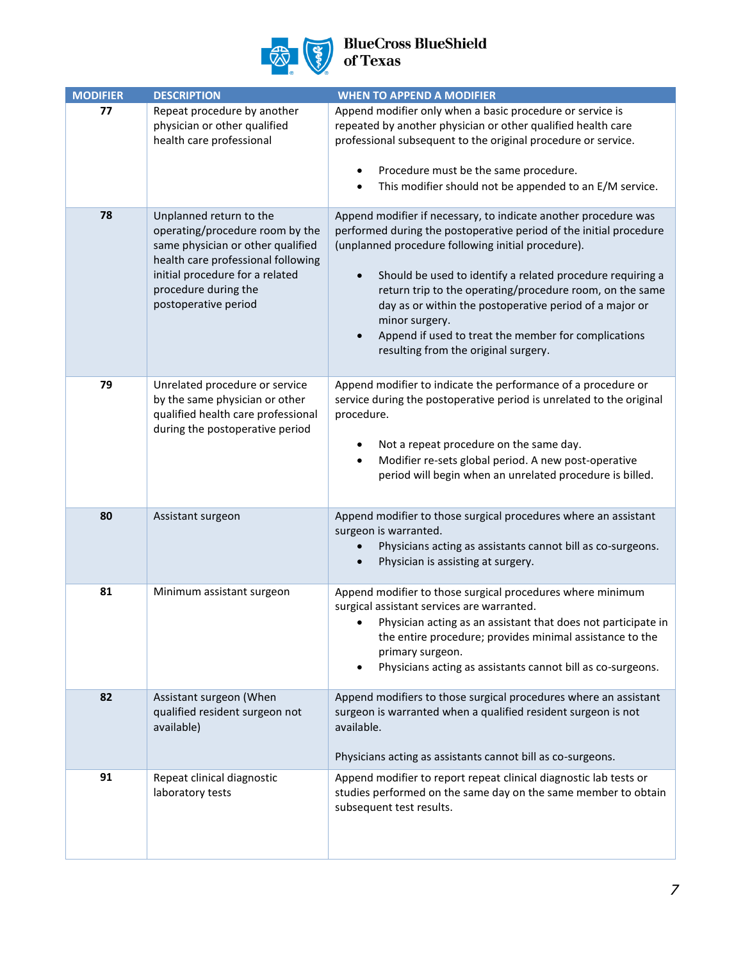

# BlueCross BlueShield<br>of Texas

| <b>MODIFIER</b> | <b>DESCRIPTION</b>                                                                                                                                                                                                       | <b>WHEN TO APPEND A MODIFIER</b>                                                                                                                                                                                                                                                                                                                                                                                                                                                                                |
|-----------------|--------------------------------------------------------------------------------------------------------------------------------------------------------------------------------------------------------------------------|-----------------------------------------------------------------------------------------------------------------------------------------------------------------------------------------------------------------------------------------------------------------------------------------------------------------------------------------------------------------------------------------------------------------------------------------------------------------------------------------------------------------|
| 77              | Repeat procedure by another<br>physician or other qualified<br>health care professional                                                                                                                                  | Append modifier only when a basic procedure or service is<br>repeated by another physician or other qualified health care<br>professional subsequent to the original procedure or service.<br>Procedure must be the same procedure.<br>$\bullet$<br>This modifier should not be appended to an E/M service.<br>$\bullet$                                                                                                                                                                                        |
| 78              | Unplanned return to the<br>operating/procedure room by the<br>same physician or other qualified<br>health care professional following<br>initial procedure for a related<br>procedure during the<br>postoperative period | Append modifier if necessary, to indicate another procedure was<br>performed during the postoperative period of the initial procedure<br>(unplanned procedure following initial procedure).<br>Should be used to identify a related procedure requiring a<br>return trip to the operating/procedure room, on the same<br>day as or within the postoperative period of a major or<br>minor surgery.<br>Append if used to treat the member for complications<br>$\bullet$<br>resulting from the original surgery. |
| 79              | Unrelated procedure or service<br>by the same physician or other<br>qualified health care professional<br>during the postoperative period                                                                                | Append modifier to indicate the performance of a procedure or<br>service during the postoperative period is unrelated to the original<br>procedure.<br>Not a repeat procedure on the same day.<br>Modifier re-sets global period. A new post-operative<br>$\bullet$<br>period will begin when an unrelated procedure is billed.                                                                                                                                                                                 |
| 80              | Assistant surgeon                                                                                                                                                                                                        | Append modifier to those surgical procedures where an assistant<br>surgeon is warranted.<br>Physicians acting as assistants cannot bill as co-surgeons.<br>Physician is assisting at surgery.<br>$\bullet$                                                                                                                                                                                                                                                                                                      |
| 81              | Minimum assistant surgeon                                                                                                                                                                                                | Append modifier to those surgical procedures where minimum<br>surgical assistant services are warranted.<br>Physician acting as an assistant that does not participate in<br>the entire procedure; provides minimal assistance to the<br>primary surgeon.<br>Physicians acting as assistants cannot bill as co-surgeons.                                                                                                                                                                                        |
| 82              | Assistant surgeon (When<br>qualified resident surgeon not<br>available)                                                                                                                                                  | Append modifiers to those surgical procedures where an assistant<br>surgeon is warranted when a qualified resident surgeon is not<br>available.<br>Physicians acting as assistants cannot bill as co-surgeons.                                                                                                                                                                                                                                                                                                  |
| 91              | Repeat clinical diagnostic<br>laboratory tests                                                                                                                                                                           | Append modifier to report repeat clinical diagnostic lab tests or<br>studies performed on the same day on the same member to obtain<br>subsequent test results.                                                                                                                                                                                                                                                                                                                                                 |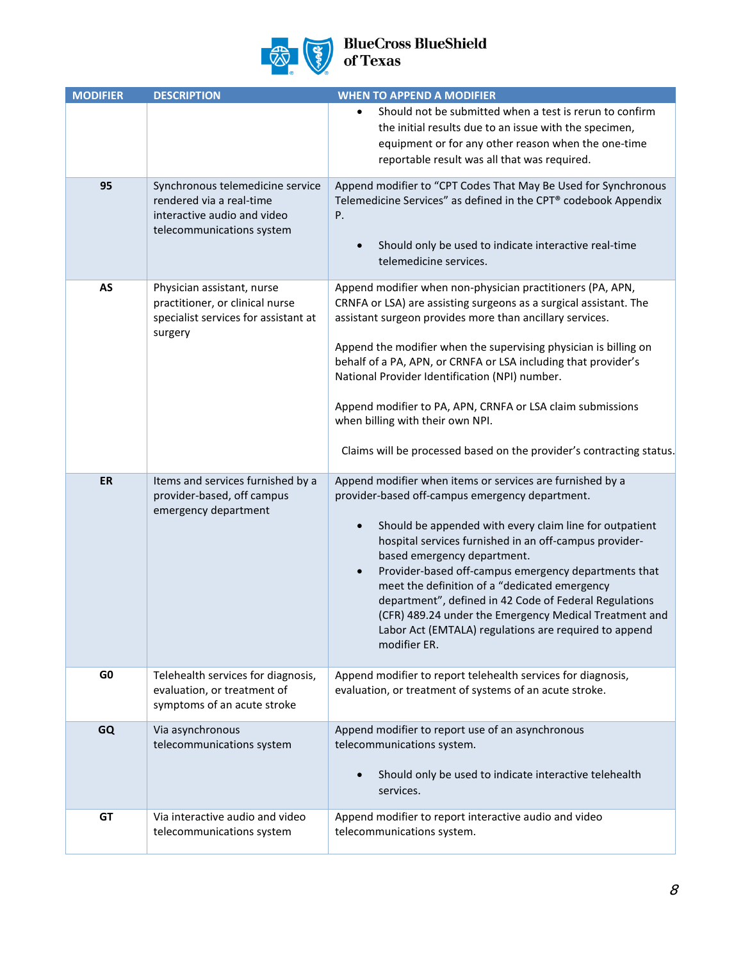

|  | еха |
|--|-----|
|--|-----|

| <b>MODIFIER</b> | <b>DESCRIPTION</b>                                                                                                       | <b>WHEN TO APPEND A MODIFIER</b>                                                                                                                                                                                                                                                                                                                                                                                                                                                                                                                                                    |
|-----------------|--------------------------------------------------------------------------------------------------------------------------|-------------------------------------------------------------------------------------------------------------------------------------------------------------------------------------------------------------------------------------------------------------------------------------------------------------------------------------------------------------------------------------------------------------------------------------------------------------------------------------------------------------------------------------------------------------------------------------|
|                 |                                                                                                                          | Should not be submitted when a test is rerun to confirm<br>the initial results due to an issue with the specimen,<br>equipment or for any other reason when the one-time<br>reportable result was all that was required.                                                                                                                                                                                                                                                                                                                                                            |
| 95              | Synchronous telemedicine service<br>rendered via a real-time<br>interactive audio and video<br>telecommunications system | Append modifier to "CPT Codes That May Be Used for Synchronous<br>Telemedicine Services" as defined in the CPT® codebook Appendix<br>Ρ.<br>Should only be used to indicate interactive real-time<br>telemedicine services.                                                                                                                                                                                                                                                                                                                                                          |
| AS              | Physician assistant, nurse<br>practitioner, or clinical nurse<br>specialist services for assistant at<br>surgery         | Append modifier when non-physician practitioners (PA, APN,<br>CRNFA or LSA) are assisting surgeons as a surgical assistant. The<br>assistant surgeon provides more than ancillary services.<br>Append the modifier when the supervising physician is billing on<br>behalf of a PA, APN, or CRNFA or LSA including that provider's<br>National Provider Identification (NPI) number.<br>Append modifier to PA, APN, CRNFA or LSA claim submissions<br>when billing with their own NPI.<br>Claims will be processed based on the provider's contracting status.                       |
| <b>ER</b>       | Items and services furnished by a<br>provider-based, off campus<br>emergency department                                  | Append modifier when items or services are furnished by a<br>provider-based off-campus emergency department.<br>Should be appended with every claim line for outpatient<br>hospital services furnished in an off-campus provider-<br>based emergency department.<br>Provider-based off-campus emergency departments that<br>$\bullet$<br>meet the definition of a "dedicated emergency<br>department", defined in 42 Code of Federal Regulations<br>(CFR) 489.24 under the Emergency Medical Treatment and<br>Labor Act (EMTALA) regulations are required to append<br>modifier ER. |
| G <sub>0</sub>  | Telehealth services for diagnosis,<br>evaluation, or treatment of<br>symptoms of an acute stroke                         | Append modifier to report telehealth services for diagnosis,<br>evaluation, or treatment of systems of an acute stroke.                                                                                                                                                                                                                                                                                                                                                                                                                                                             |
| GQ              | Via asynchronous<br>telecommunications system                                                                            | Append modifier to report use of an asynchronous<br>telecommunications system.<br>Should only be used to indicate interactive telehealth<br>services.                                                                                                                                                                                                                                                                                                                                                                                                                               |
| GT              | Via interactive audio and video<br>telecommunications system                                                             | Append modifier to report interactive audio and video<br>telecommunications system.                                                                                                                                                                                                                                                                                                                                                                                                                                                                                                 |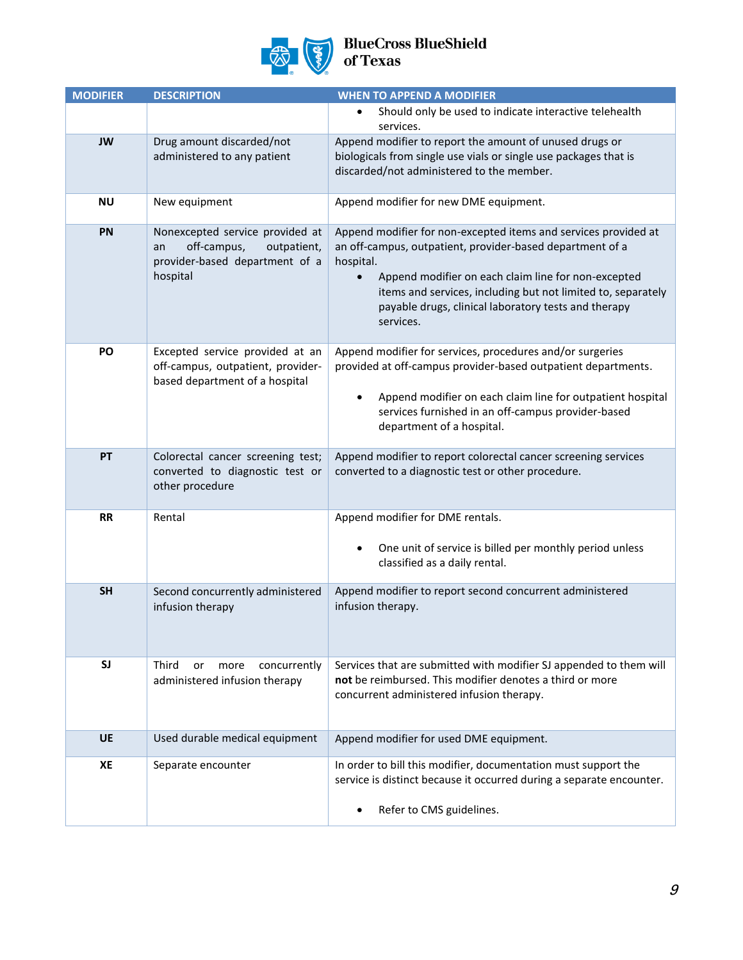

| <b>MODIFIER</b> | <b>DESCRIPTION</b>                                                                                                | <b>WHEN TO APPEND A MODIFIER</b>                                                                                                                                                                                                                                                                                                      |
|-----------------|-------------------------------------------------------------------------------------------------------------------|---------------------------------------------------------------------------------------------------------------------------------------------------------------------------------------------------------------------------------------------------------------------------------------------------------------------------------------|
|                 |                                                                                                                   | Should only be used to indicate interactive telehealth<br>services.                                                                                                                                                                                                                                                                   |
| <b>JW</b>       | Drug amount discarded/not<br>administered to any patient                                                          | Append modifier to report the amount of unused drugs or<br>biologicals from single use vials or single use packages that is<br>discarded/not administered to the member.                                                                                                                                                              |
| <b>NU</b>       | New equipment                                                                                                     | Append modifier for new DME equipment.                                                                                                                                                                                                                                                                                                |
| PN              | Nonexcepted service provided at<br>off-campus,<br>outpatient,<br>an<br>provider-based department of a<br>hospital | Append modifier for non-excepted items and services provided at<br>an off-campus, outpatient, provider-based department of a<br>hospital.<br>Append modifier on each claim line for non-excepted<br>items and services, including but not limited to, separately<br>payable drugs, clinical laboratory tests and therapy<br>services. |
| PO              | Excepted service provided at an<br>off-campus, outpatient, provider-<br>based department of a hospital            | Append modifier for services, procedures and/or surgeries<br>provided at off-campus provider-based outpatient departments.<br>Append modifier on each claim line for outpatient hospital<br>٠<br>services furnished in an off-campus provider-based<br>department of a hospital.                                                      |
| PT              | Colorectal cancer screening test;<br>converted to diagnostic test or<br>other procedure                           | Append modifier to report colorectal cancer screening services<br>converted to a diagnostic test or other procedure.                                                                                                                                                                                                                  |
| <b>RR</b>       | Rental                                                                                                            | Append modifier for DME rentals.<br>One unit of service is billed per monthly period unless<br>٠<br>classified as a daily rental.                                                                                                                                                                                                     |
| <b>SH</b>       | Second concurrently administered<br>infusion therapy                                                              | Append modifier to report second concurrent administered<br>infusion therapy.                                                                                                                                                                                                                                                         |
| <b>SJ</b>       | Third<br>concurrently<br>or<br>more<br>administered infusion therapy                                              | Services that are submitted with modifier SJ appended to them will<br>not be reimbursed. This modifier denotes a third or more<br>concurrent administered infusion therapy.                                                                                                                                                           |
| UE              | Used durable medical equipment                                                                                    | Append modifier for used DME equipment.                                                                                                                                                                                                                                                                                               |
| XE              | Separate encounter                                                                                                | In order to bill this modifier, documentation must support the<br>service is distinct because it occurred during a separate encounter.<br>Refer to CMS guidelines.                                                                                                                                                                    |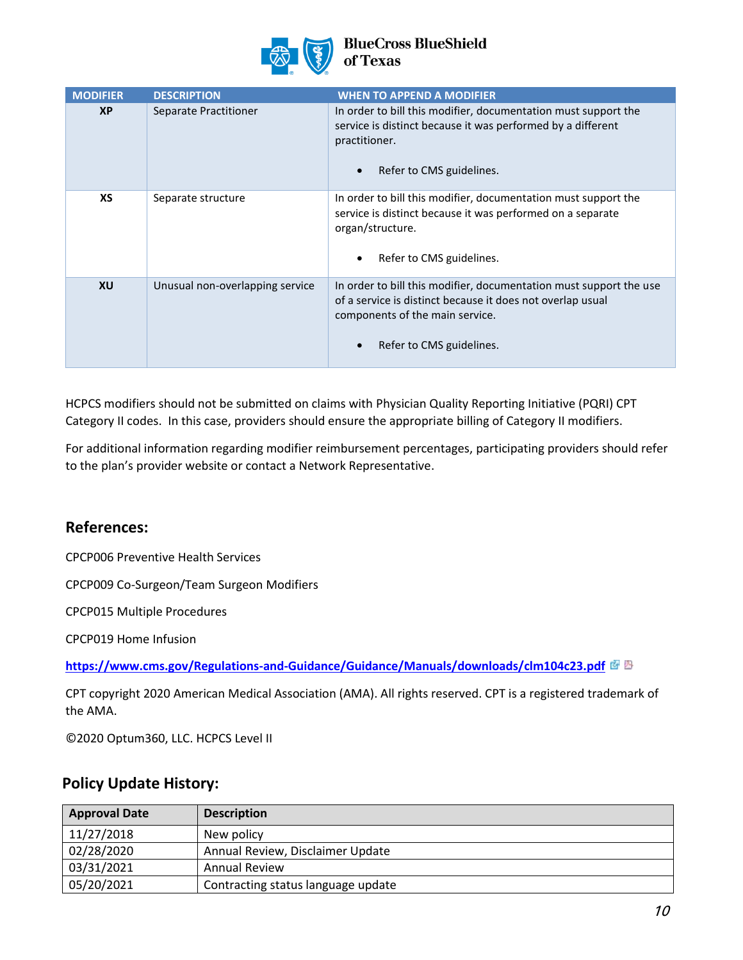

### **BlueCross BlueShield** of Texas

| <b>MODIFIER</b> | <b>DESCRIPTION</b>              | <b>WHEN TO APPEND A MODIFIER</b>                                                                                                                                                                |
|-----------------|---------------------------------|-------------------------------------------------------------------------------------------------------------------------------------------------------------------------------------------------|
| <b>XP</b>       | Separate Practitioner           | In order to bill this modifier, documentation must support the<br>service is distinct because it was performed by a different<br>practitioner.<br>Refer to CMS guidelines.                      |
| XS              | Separate structure              | In order to bill this modifier, documentation must support the<br>service is distinct because it was performed on a separate<br>organ/structure.<br>Refer to CMS guidelines.                    |
| <b>XU</b>       | Unusual non-overlapping service | In order to bill this modifier, documentation must support the use<br>of a service is distinct because it does not overlap usual<br>components of the main service.<br>Refer to CMS guidelines. |

HCPCS modifiers should not be submitted on claims with Physician Quality Reporting Initiative (PQRI) CPT Category II codes. In this case, providers should ensure the appropriate billing of Category II modifiers.

For additional information regarding modifier reimbursement percentages, participating providers should refer to the plan's provider website or contact a Network Representative.

### **References:**

CPCP006 Preventive Health Services

CPCP009 Co-Surgeon/Team Surgeon Modifiers

CPCP015 Multiple Procedures

CPCP019 Home Infusion

**<https://www.cms.gov/Regulations-and-Guidance/Guidance/Manuals/downloads/clm104c23.pdf>**

CPT copyright 2020 American Medical Association (AMA). All rights reserved. CPT is a registered trademark of the AMA.

©2020 Optum360, LLC. HCPCS Level II

## **Policy Update History:**

| <b>Approval Date</b> | <b>Description</b>                 |
|----------------------|------------------------------------|
| 11/27/2018           | New policy                         |
| 02/28/2020           | Annual Review, Disclaimer Update   |
| 03/31/2021           | Annual Review                      |
| 05/20/2021           | Contracting status language update |